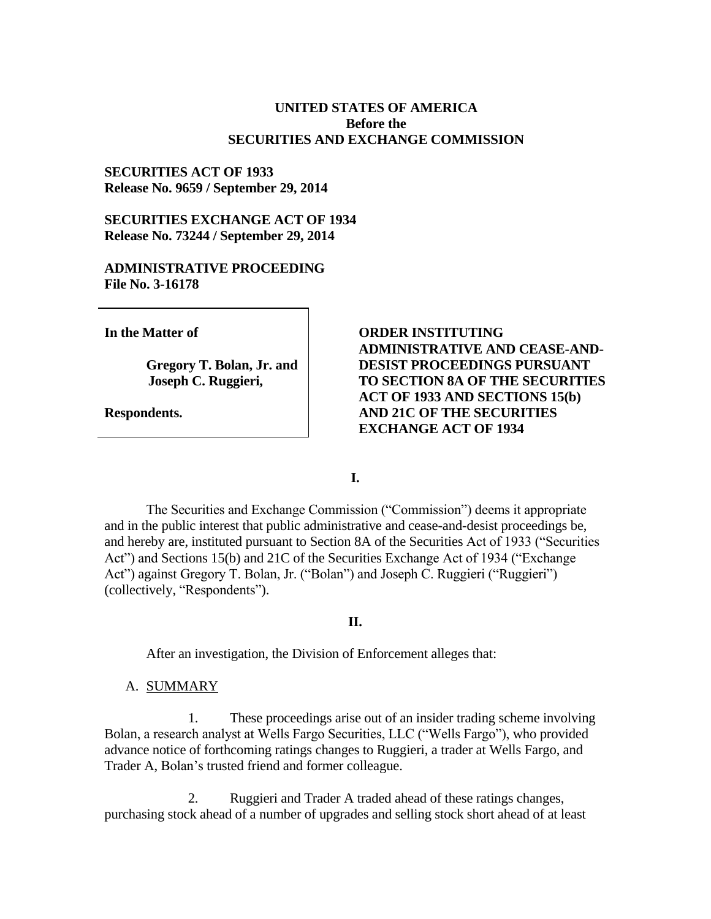### **UNITED STATES OF AMERICA Before the SECURITIES AND EXCHANGE COMMISSION**

### **SECURITIES ACT OF 1933 Release No. 9659 / September 29, 2014**

# **SECURITIES EXCHANGE ACT OF 1934** Release No. 73244 / September 29, 2014

## **ADMINISTRATIVE PROCEEDING File No. 3-16178**

In the Matter of

Gregory T. Bolan, Jr. and Joseph C. Ruggieri,

Respondents.

# **ORDER INSTITUTING ADMINISTRATIVE AND CEASE-AND-DESIST PROCEEDINGS PURSUANT** TO SECTION 8A OF THE SECURITIES **ACT OF 1933 AND SECTIONS 15(b) AND 21C OF THE SECURITIES EXCHANGE ACT OF 1934**

L.

The Securities and Exchange Commission ("Commission") deems it appropriate and in the public interest that public administrative and cease-and-desist proceedings be, and hereby are, instituted pursuant to Section 8A of the Securities Act of 1933 ("Securities Act") and Sections 15(b) and 21C of the Securities Exchange Act of 1934 ("Exchange" Act") against Gregory T. Bolan, Jr. ("Bolan") and Joseph C. Ruggieri ("Ruggieri") (collectively, "Respondents").

### **II.**

After an investigation, the Division of Enforcement alleges that:

### A. SUMMARY

 $1<sup>1</sup>$ These proceedings arise out of an insider trading scheme involving Bolan, a research analyst at Wells Fargo Securities, LLC ("Wells Fargo"), who provided advance notice of forthcoming ratings changes to Ruggieri, a trader at Wells Fargo, and Trader A, Bolan's trusted friend and former colleague.

 $2<sup>1</sup>$ Ruggieri and Trader A traded ahead of these ratings changes, purchasing stock ahead of a number of upgrades and selling stock short ahead of at least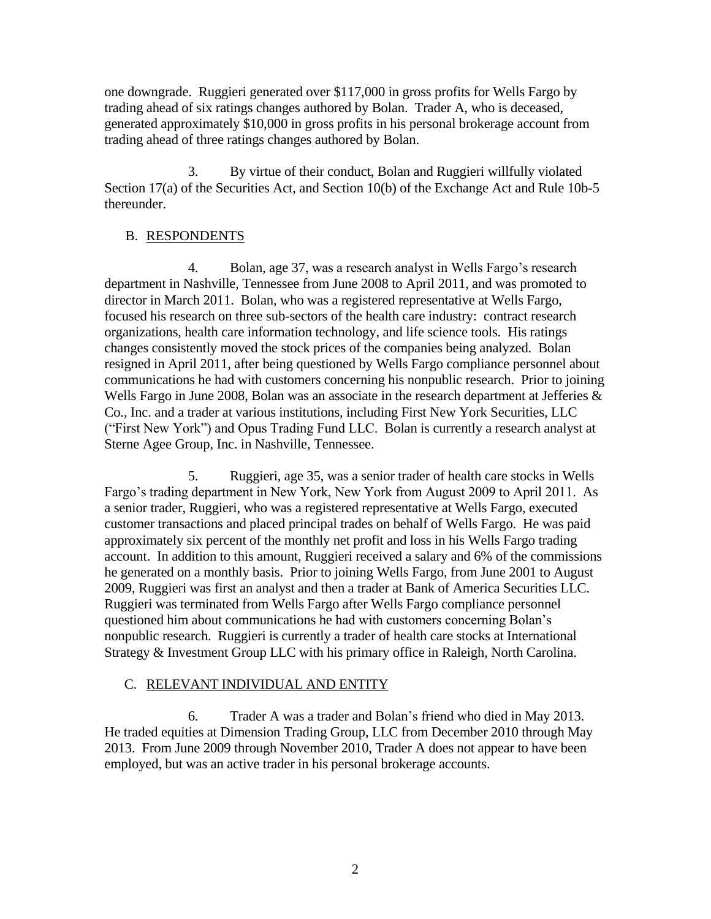one downgrade. Ruggieri generated over \$117,000 in gross profits for Wells Fargo by trading ahead of six ratings changes authored by Bolan. Trader A, who is deceased, generated approximately \$10,000 in gross profits in his personal brokerage account from trading ahead of three ratings changes authored by Bolan.

By virtue of their conduct, Bolan and Ruggieri willfully violated 3. Section 17(a) of the Securities Act, and Section 10(b) of the Exchange Act and Rule 10b-5 thereunder.

## **B. RESPONDENTS**

 $\overline{4}$ . Bolan, age 37, was a research analyst in Wells Fargo's research department in Nashville, Tennessee from June 2008 to April 2011, and was promoted to director in March 2011. Bolan, who was a registered representative at Wells Fargo, focused his research on three sub-sectors of the health care industry: contract research organizations, health care information technology, and life science tools. His ratings changes consistently moved the stock prices of the companies being analyzed. Bolan resigned in April 2011, after being questioned by Wells Fargo compliance personnel about communications he had with customers concerning his nonpublic research. Prior to joining Wells Fargo in June 2008, Bolan was an associate in the research department at Jefferies  $\&$ Co., Inc. and a trader at various institutions, including First New York Securities, LLC ("First New York") and Opus Trading Fund LLC. Bolan is currently a research analyst at Sterne Agee Group, Inc. in Nashville, Tennessee.

 $5<sub>1</sub>$ Ruggieri, age 35, was a senior trader of health care stocks in Wells Fargo's trading department in New York, New York from August 2009 to April 2011. As a senior trader, Ruggieri, who was a registered representative at Wells Fargo, executed customer transactions and placed principal trades on behalf of Wells Fargo. He was paid approximately six percent of the monthly net profit and loss in his Wells Fargo trading account. In addition to this amount, Ruggieri received a salary and 6% of the commissions he generated on a monthly basis. Prior to joining Wells Fargo, from June 2001 to August 2009, Ruggieri was first an analyst and then a trader at Bank of America Securities LLC. Ruggieri was terminated from Wells Fargo after Wells Fargo compliance personnel questioned him about communications he had with customers concerning Bolan's nonpublic research. Ruggieri is currently a trader of health care stocks at International Strategy & Investment Group LLC with his primary office in Raleigh, North Carolina.

### C. RELEVANT INDIVIDUAL AND ENTITY

6. Trader A was a trader and Bolan's friend who died in May 2013. He traded equities at Dimension Trading Group, LLC from December 2010 through May 2013. From June 2009 through November 2010, Trader A does not appear to have been employed, but was an active trader in his personal brokerage accounts.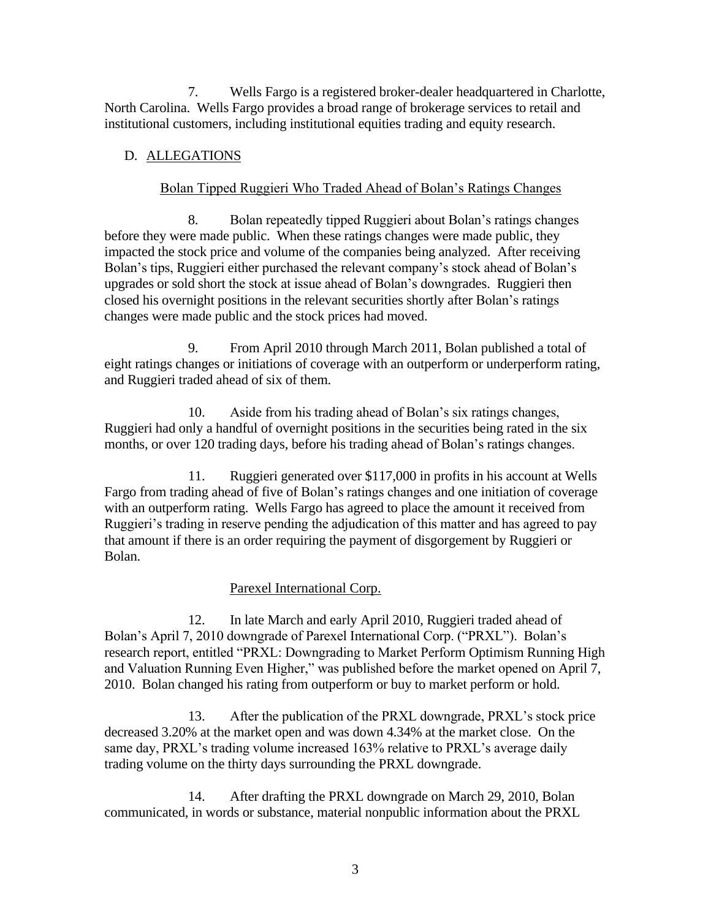7. Wells Fargo is a registered broker-dealer headquartered in Charlotte, North Carolina. Wells Fargo provides a broad range of brokerage services to retail and institutional customers, including institutional equities trading and equity research.

# D. ALLEGATIONS

# Bolan Tipped Ruggieri Who Traded Ahead of Bolan's Ratings Changes

8. Bolan repeatedly tipped Ruggieri about Bolan's ratings changes before they were made public. When these ratings changes were made public, they impacted the stock price and volume of the companies being analyzed. After receiving Bolan's tips, Ruggieri either purchased the relevant company's stock ahead of Bolan's upgrades or sold short the stock at issue ahead of Bolan's downgrades. Ruggieri then closed his overnight positions in the relevant securities shortly after Bolan's ratings changes were made public and the stock prices had moved.

9. From April 2010 through March 2011, Bolan published a total of eight ratings changes or initiations of coverage with an outperform or underperform rating, and Ruggieri traded ahead of six of them.

Aside from his trading ahead of Bolan's six ratings changes, 10. Ruggieri had only a handful of overnight positions in the securities being rated in the six months, or over 120 trading days, before his trading ahead of Bolan's ratings changes.

 $11<sub>1</sub>$ Ruggieri generated over \$117,000 in profits in his account at Wells Fargo from trading ahead of five of Bolan's ratings changes and one initiation of coverage with an outperform rating. Wells Fargo has agreed to place the amount it received from Ruggieri's trading in reserve pending the adjudication of this matter and has agreed to pay that amount if there is an order requiring the payment of disgorgement by Ruggieri or Bolan.

# Parexel International Corp.

In late March and early April 2010, Ruggieri traded ahead of 12. Bolan's April 7, 2010 downgrade of Parexel International Corp. ("PRXL"). Bolan's research report, entitled "PRXL: Downgrading to Market Perform Optimism Running High and Valuation Running Even Higher," was published before the market opened on April 7, 2010. Bolan changed his rating from outperform or buy to market perform or hold.

13. After the publication of the PRXL downgrade, PRXL's stock price decreased 3.20% at the market open and was down 4.34% at the market close. On the same day, PRXL's trading volume increased 163% relative to PRXL's average daily trading volume on the thirty days surrounding the PRXL downgrade.

14. After drafting the PRXL downgrade on March 29, 2010, Bolan communicated, in words or substance, material nonpublic information about the PRXL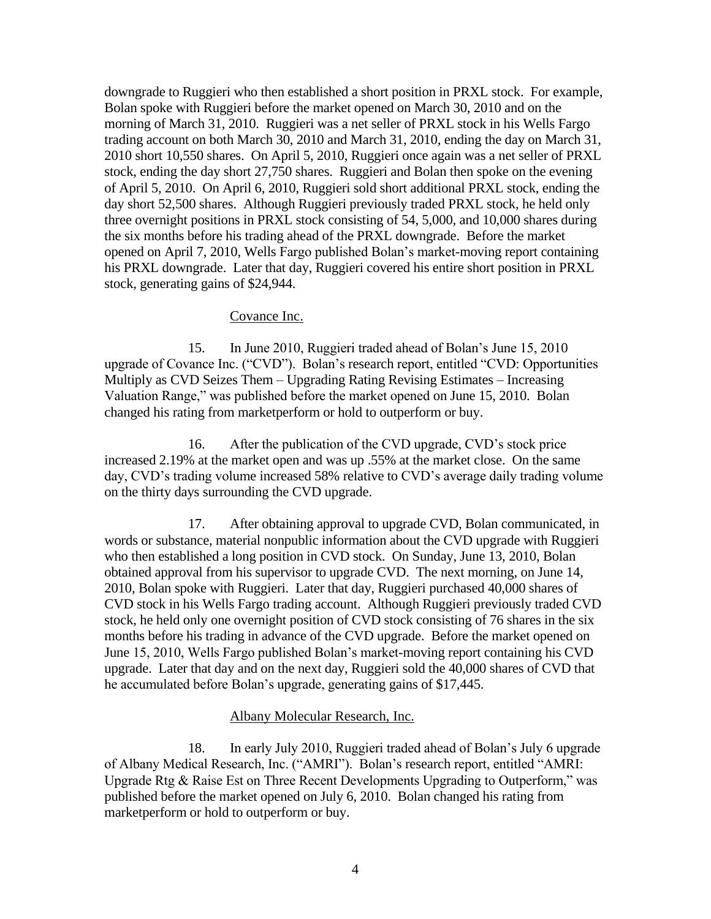downgrade to Ruggieri who then established a short position in PRXL stock. For example, Bolan spoke with Ruggieri before the market opened on March 30, 2010 and on the morning of March 31, 2010. Ruggieri was a net seller of PRXL stock in his Wells Fargo trading account on both March 30, 2010 and March 31, 2010, ending the day on March 31, 2010 short 10,550 shares. On April 5, 2010, Ruggieri once again was a net seller of PRXL stock, ending the day short 27,750 shares. Ruggieri and Bolan then spoke on the evening of April 5, 2010. On April 6, 2010, Ruggieri sold short additional PRXL stock, ending the day short 52,500 shares. Although Ruggieri previously traded PRXL stock, he held only three overnight positions in PRXL stock consisting of 54, 5,000, and 10,000 shares during the six months before his trading ahead of the PRXL downgrade. Before the market opened on April 7, 2010, Wells Fargo published Bolan's market-moving report containing his PRXL downgrade. Later that day, Ruggieri covered his entire short position in PRXL stock, generating gains of \$24,944.

### Covance Inc.

15. In June 2010, Ruggieri traded ahead of Bolan's June 15, 2010 upgrade of Covance Inc. ("CVD"). Bolan's research report, entitled "CVD: Opportunities Multiply as CVD Seizes Them – Upgrading Rating Revising Estimates – Increasing Valuation Range," was published before the market opened on June 15, 2010. Bolan changed his rating from market perform or hold to outperform or buy.

After the publication of the CVD upgrade, CVD's stock price 16. increased 2.19% at the market open and was up .55% at the market close. On the same day, CVD's trading volume increased 58% relative to CVD's average daily trading volume on the thirty days surrounding the CVD upgrade.

17. After obtaining approval to upgrade CVD, Bolan communicated, in words or substance, material nonpublic information about the CVD upgrade with Ruggieri who then established a long position in CVD stock. On Sunday, June 13, 2010, Bolan obtained approval from his supervisor to upgrade CVD. The next morning, on June 14, 2010, Bolan spoke with Ruggieri. Later that day, Ruggieri purchased 40,000 shares of CVD stock in his Wells Fargo trading account. Although Ruggieri previously traded CVD stock, he held only one overnight position of CVD stock consisting of 76 shares in the six months before his trading in advance of the CVD upgrade. Before the market opened on June 15, 2010, Wells Fargo published Bolan's market-moving report containing his CVD upgrade. Later that day and on the next day, Ruggieri sold the 40,000 shares of CVD that he accumulated before Bolan's upgrade, generating gains of \$17,445.

#### Albany Molecular Research, Inc.

18. In early July 2010, Ruggieri traded ahead of Bolan's July 6 upgrade of Albany Medical Research, Inc. ("AMRI"). Bolan's research report, entitled "AMRI: Upgrade Rtg & Raise Est on Three Recent Developments Upgrading to Outperform," was published before the market opened on July 6, 2010. Bolan changed his rating from marketperform or hold to outperform or buy.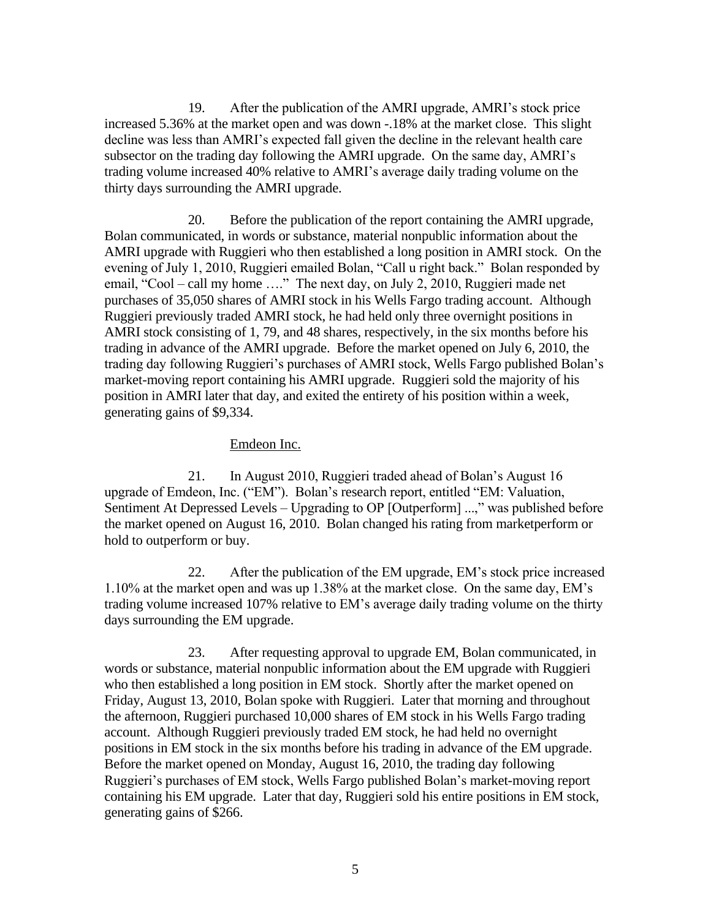19. After the publication of the AMRI upgrade, AMRI's stock price increased 5.36% at the market open and was down -.18% at the market close. This slight decline was less than AMRI's expected fall given the decline in the relevant health care subsector on the trading day following the AMRI upgrade. On the same day, AMRI's trading volume increased 40% relative to AMRI's average daily trading volume on the thirty days surrounding the AMRI upgrade.

20. Before the publication of the report containing the AMRI upgrade, Bolan communicated, in words or substance, material nonpublic information about the AMRI upgrade with Ruggieri who then established a long position in AMRI stock. On the evening of July 1, 2010, Ruggieri emailed Bolan, "Call u right back." Bolan responded by email, "Cool – call my home ...." The next day, on July 2, 2010, Ruggieri made net purchases of 35,050 shares of AMRI stock in his Wells Fargo trading account. Although Ruggieri previously traded AMRI stock, he had held only three overnight positions in AMRI stock consisting of 1, 79, and 48 shares, respectively, in the six months before his trading in advance of the AMRI upgrade. Before the market opened on July 6, 2010, the trading day following Ruggieri's purchases of AMRI stock, Wells Fargo published Bolan's market-moving report containing his AMRI upgrade. Ruggieri sold the majority of his position in AMRI later that day, and exited the entirety of his position within a week, generating gains of \$9,334.

### Emdeon Inc.

 $21$ In August 2010, Ruggieri traded ahead of Bolan's August 16 upgrade of Emdeon, Inc. ("EM"). Bolan's research report, entitled "EM: Valuation, Sentiment At Depressed Levels - Upgrading to OP [Outperform] ...," was published before the market opened on August 16, 2010. Bolan changed his rating from marketperform or hold to outperform or buy.

After the publication of the EM upgrade, EM's stock price increased 22. 1.10% at the market open and was up 1.38% at the market close. On the same day, EM's trading volume increased 107% relative to EM's average daily trading volume on the thirty days surrounding the EM upgrade.

23. After requesting approval to upgrade EM, Bolan communicated, in words or substance, material nonpublic information about the EM upgrade with Ruggieri who then established a long position in EM stock. Shortly after the market opened on Friday, August 13, 2010, Bolan spoke with Ruggieri. Later that morning and throughout the afternoon, Ruggieri purchased 10,000 shares of EM stock in his Wells Fargo trading account. Although Ruggieri previously traded EM stock, he had held no overnight positions in EM stock in the six months before his trading in advance of the EM upgrade. Before the market opened on Monday, August 16, 2010, the trading day following Ruggieri's purchases of EM stock. Wells Fargo published Bolan's market-moving report containing his EM upgrade. Later that day, Ruggieri sold his entire positions in EM stock, generating gains of \$266.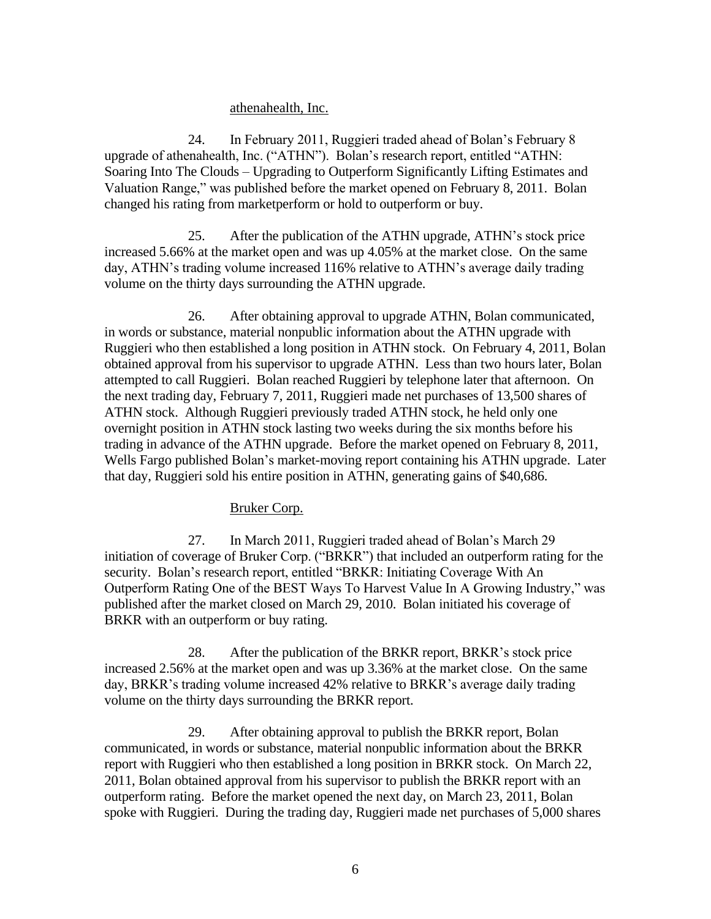### athenahealth, Inc.

24. In February 2011, Ruggieri traded ahead of Bolan's February 8 upgrade of athenahealth, Inc. ("ATHN"). Bolan's research report, entitled "ATHN: Soaring Into The Clouds – Upgrading to Outperform Significantly Lifting Estimates and Valuation Range," was published before the market opened on February 8, 2011. Bolan changed his rating from marketperform or hold to outperform or buy.

25. After the publication of the ATHN upgrade, ATHN's stock price increased 5.66% at the market open and was up 4.05% at the market close. On the same day, ATHN's trading volume increased 116% relative to ATHN's average daily trading volume on the thirty days surrounding the ATHN upgrade.

 $26$ After obtaining approval to upgrade ATHN, Bolan communicated, in words or substance, material nonpublic information about the ATHN upgrade with Ruggieri who then established a long position in ATHN stock. On February 4, 2011, Bolan obtained approval from his supervisor to upgrade ATHN. Less than two hours later, Bolan attempted to call Ruggieri. Bolan reached Ruggieri by telephone later that afternoon. On the next trading day, February 7, 2011, Ruggieri made net purchases of 13,500 shares of ATHN stock. Although Ruggieri previously traded ATHN stock, he held only one overnight position in ATHN stock lasting two weeks during the six months before his trading in advance of the ATHN upgrade. Before the market opened on February 8, 2011, Wells Fargo published Bolan's market-moving report containing his ATHN upgrade. Later that day, Ruggieri sold his entire position in ATHN, generating gains of \$40,686.

### Bruker Corp.

27. In March 2011, Ruggieri traded ahead of Bolan's March 29 initiation of coverage of Bruker Corp. ("BRKR") that included an outperform rating for the security. Bolan's research report, entitled "BRKR: Initiating Coverage With An Outperform Rating One of the BEST Ways To Harvest Value In A Growing Industry," was published after the market closed on March 29, 2010. Bolan initiated his coverage of BRKR with an outperform or buy rating.

28. After the publication of the BRKR report, BRKR's stock price increased 2.56% at the market open and was up 3.36% at the market close. On the same day, BRKR's trading volume increased 42% relative to BRKR's average daily trading volume on the thirty days surrounding the BRKR report.

After obtaining approval to publish the BRKR report, Bolan 29. communicated, in words or substance, material nonpublic information about the BRKR report with Ruggieri who then established a long position in BRKR stock. On March 22, 2011, Bolan obtained approval from his supervisor to publish the BRKR report with an outperform rating. Before the market opened the next day, on March 23, 2011, Bolan spoke with Ruggieri. During the trading day, Ruggieri made net purchases of 5,000 shares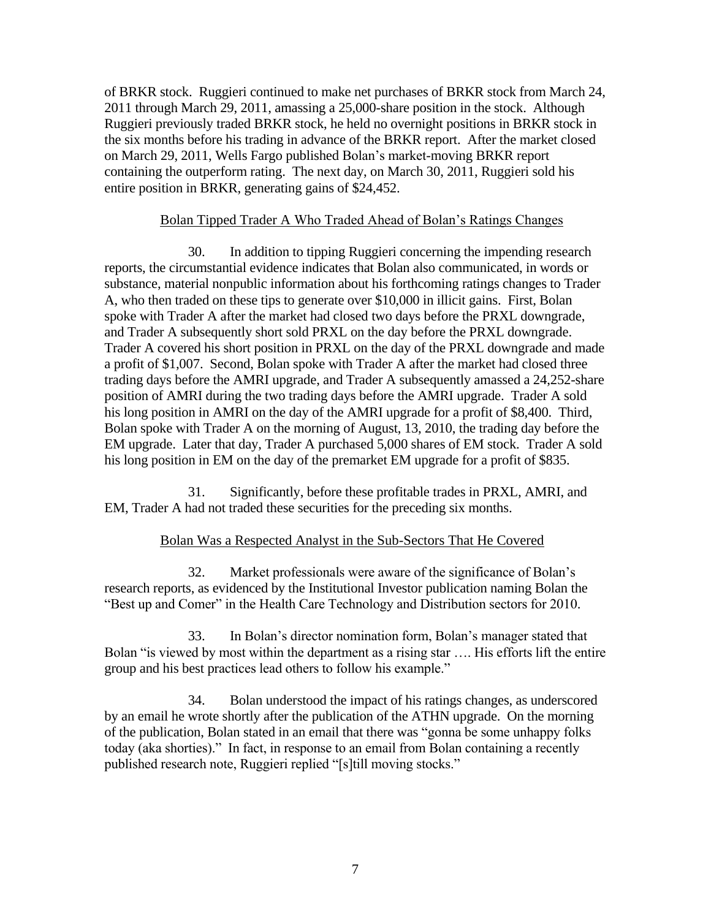of BRKR stock. Ruggieri continued to make net purchases of BRKR stock from March 24, 2011 through March 29, 2011, amassing a 25,000-share position in the stock. Although Ruggieri previously traded BRKR stock, he held no overnight positions in BRKR stock in the six months before his trading in advance of the BRKR report. After the market closed on March 29, 2011, Wells Fargo published Bolan's market-moving BRKR report containing the outperform rating. The next day, on March 30, 2011, Ruggieri sold his entire position in BRKR, generating gains of \$24,452.

### Bolan Tipped Trader A Who Traded Ahead of Bolan's Ratings Changes

30. In addition to tipping Ruggieri concerning the impending research reports, the circumstantial evidence indicates that Bolan also communicated, in words or substance, material nonpublic information about his forthcoming ratings changes to Trader A, who then traded on these tips to generate over \$10,000 in illicit gains. First, Bolan spoke with Trader A after the market had closed two days before the PRXL downgrade, and Trader A subsequently short sold PRXL on the day before the PRXL downgrade. Trader A covered his short position in PRXL on the day of the PRXL downgrade and made a profit of \$1,007. Second, Bolan spoke with Trader A after the market had closed three trading days before the AMRI upgrade, and Trader A subsequently amassed a 24,252-share position of AMRI during the two trading days before the AMRI upgrade. Trader A sold his long position in AMRI on the day of the AMRI upgrade for a profit of \$8,400. Third, Bolan spoke with Trader A on the morning of August, 13, 2010, the trading day before the EM upgrade. Later that day, Trader A purchased 5,000 shares of EM stock. Trader A sold his long position in EM on the day of the premarket EM upgrade for a profit of \$835.

31. Significantly, before these profitable trades in PRXL, AMRI, and EM, Trader A had not traded these securities for the preceding six months.

### Bolan Was a Respected Analyst in the Sub-Sectors That He Covered

Market professionals were aware of the significance of Bolan's 32. research reports, as evidenced by the Institutional Investor publication naming Bolan the "Best up and Comer" in the Health Care Technology and Distribution sectors for 2010.

33. In Bolan's director nomination form, Bolan's manager stated that Bolan "is viewed by most within the department as a rising star .... His efforts lift the entire group and his best practices lead others to follow his example."

34. Bolan understood the impact of his ratings changes, as underscored by an email he wrote shortly after the publication of the ATHN upgrade. On the morning of the publication, Bolan stated in an email that there was "gonna be some unhappy folks" today (aka shorties)." In fact, in response to an email from Bolan containing a recently published research note, Ruggieri replied "[s]till moving stocks."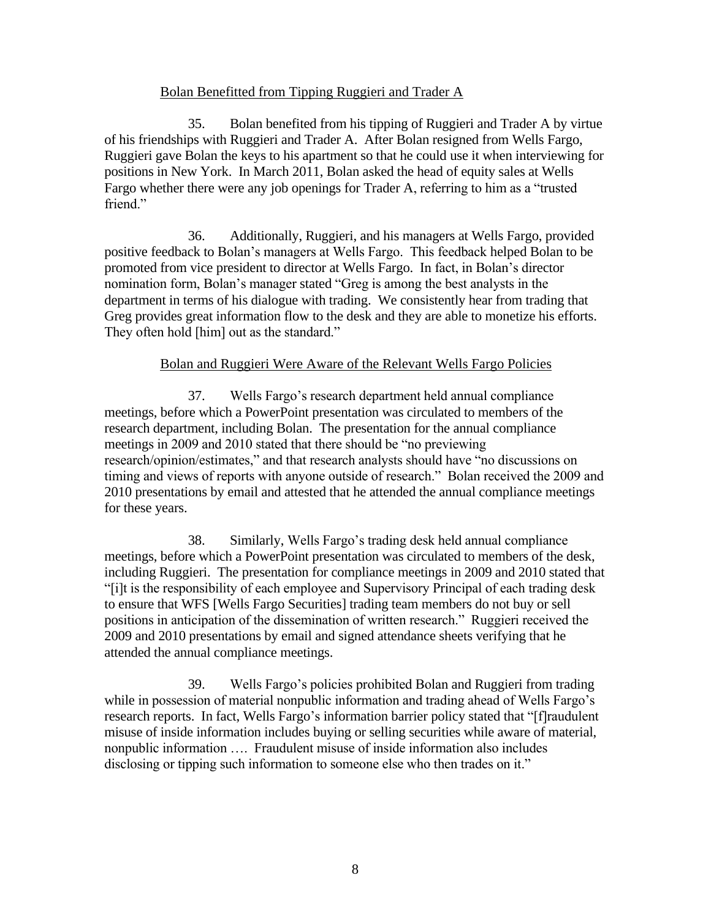# Bolan Benefitted from Tipping Ruggieri and Trader A

35. Bolan benefited from his tipping of Ruggieri and Trader A by virtue of his friendships with Ruggieri and Trader A. After Bolan resigned from Wells Fargo, Ruggieri gave Bolan the keys to his apartment so that he could use it when interviewing for positions in New York. In March 2011, Bolan asked the head of equity sales at Wells Fargo whether there were any job openings for Trader A, referring to him as a "trusted" friend."

36. Additionally, Ruggieri, and his managers at Wells Fargo, provided positive feedback to Bolan's managers at Wells Fargo. This feedback helped Bolan to be promoted from vice president to director at Wells Fargo. In fact, in Bolan's director nomination form, Bolan's manager stated "Greg is among the best analysts in the department in terms of his dialogue with trading. We consistently hear from trading that Greg provides great information flow to the desk and they are able to monetize his efforts. They often hold [him] out as the standard."

# Bolan and Ruggieri Were Aware of the Relevant Wells Fargo Policies

37. Wells Fargo's research department held annual compliance meetings, before which a PowerPoint presentation was circulated to members of the research department, including Bolan. The presentation for the annual compliance meetings in 2009 and 2010 stated that there should be "no previewing" research/opinion/estimates," and that research analysts should have "no discussions on timing and views of reports with anyone outside of research." Bolan received the 2009 and 2010 presentations by email and attested that he attended the annual compliance meetings for these years.

Similarly, Wells Fargo's trading desk held annual compliance 38. meetings, before which a PowerPoint presentation was circulated to members of the desk, including Ruggieri. The presentation for compliance meetings in 2009 and 2010 stated that "[i]t is the responsibility of each employee and Supervisory Principal of each trading desk to ensure that WFS [Wells Fargo Securities] trading team members do not buy or sell positions in anticipation of the dissemination of written research." Ruggieri received the 2009 and 2010 presentations by email and signed attendance sheets verifying that he attended the annual compliance meetings.

39 Wells Fargo's policies prohibited Bolan and Ruggieri from trading while in possession of material nonpublic information and trading ahead of Wells Fargo's research reports. In fact, Wells Fargo's information barrier policy stated that "[f] raudulent misuse of inside information includes buying or selling securities while aware of material, nonpublic information .... Fraudulent misuse of inside information also includes disclosing or tipping such information to someone else who then trades on it."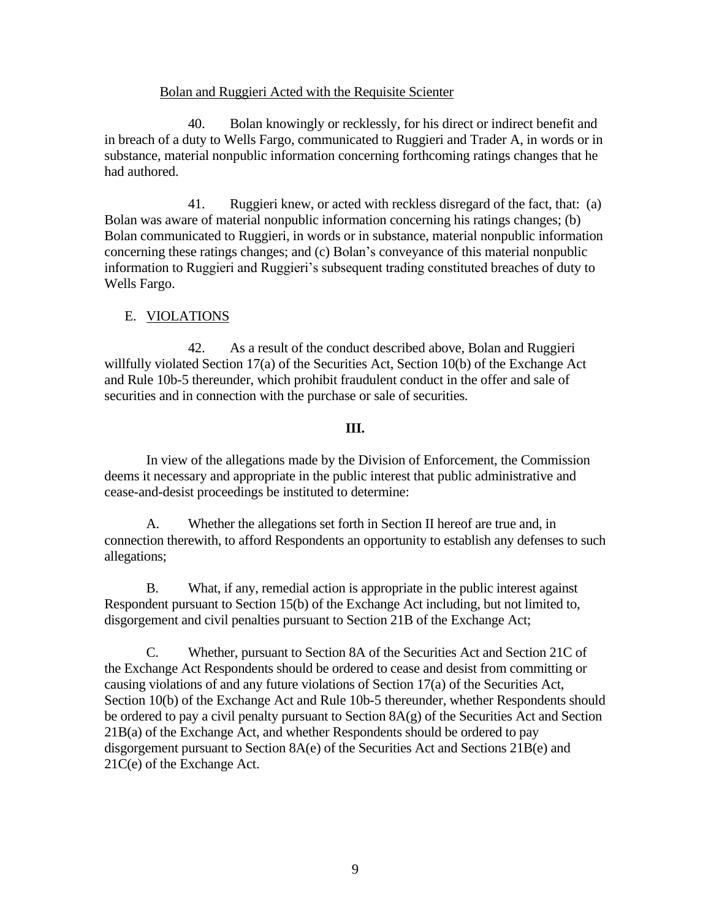### Bolan and Ruggieri Acted with the Requisite Scienter

Bolan knowingly or recklessly, for his direct or indirect benefit and 40. in breach of a duty to Wells Fargo, communicated to Ruggieri and Trader A, in words or in substance, material nonpublic information concerning forthcoming ratings changes that he had authored.

41. Ruggieri knew, or acted with reckless disregard of the fact, that: (a) Bolan was aware of material nonpublic information concerning his ratings changes; (b) Bolan communicated to Ruggieri, in words or in substance, material nonpublic information concerning these ratings changes; and (c) Bolan's conveyance of this material nonpublic information to Ruggieri and Ruggieri's subsequent trading constituted breaches of duty to Wells Fargo.

# E. VIOLATIONS

42. As a result of the conduct described above, Bolan and Ruggieri willfully violated Section  $17(a)$  of the Securities Act, Section  $10(b)$  of the Exchange Act and Rule 10b-5 thereunder, which prohibit fraudulent conduct in the offer and sale of securities and in connection with the purchase or sale of securities.

### Ш.

In view of the allegations made by the Division of Enforcement, the Commission deems it necessary and appropriate in the public interest that public administrative and cease-and-desist proceedings be instituted to determine:

Whether the allegations set forth in Section II hereof are true and, in  $A<sub>1</sub>$ connection therewith, to afford Respondents an opportunity to establish any defenses to such allegations;

**B.** What, if any, remedial action is appropriate in the public interest against Respondent pursuant to Section 15(b) of the Exchange Act including, but not limited to, disgorgement and civil penalties pursuant to Section 21B of the Exchange Act;

 $C_{\cdot}$ Whether, pursuant to Section 8A of the Securities Act and Section 21C of the Exchange Act Respondents should be ordered to cease and desist from committing or causing violations of and any future violations of Section 17(a) of the Securities Act, Section 10(b) of the Exchange Act and Rule 10b-5 thereunder, whether Respondents should be ordered to pay a civil penalty pursuant to Section  $8A(g)$  of the Securities Act and Section 21B(a) of the Exchange Act, and whether Respondents should be ordered to pay disgorgement pursuant to Section  $8A(e)$  of the Securities Act and Sections  $21B(e)$  and  $21C(e)$  of the Exchange Act.